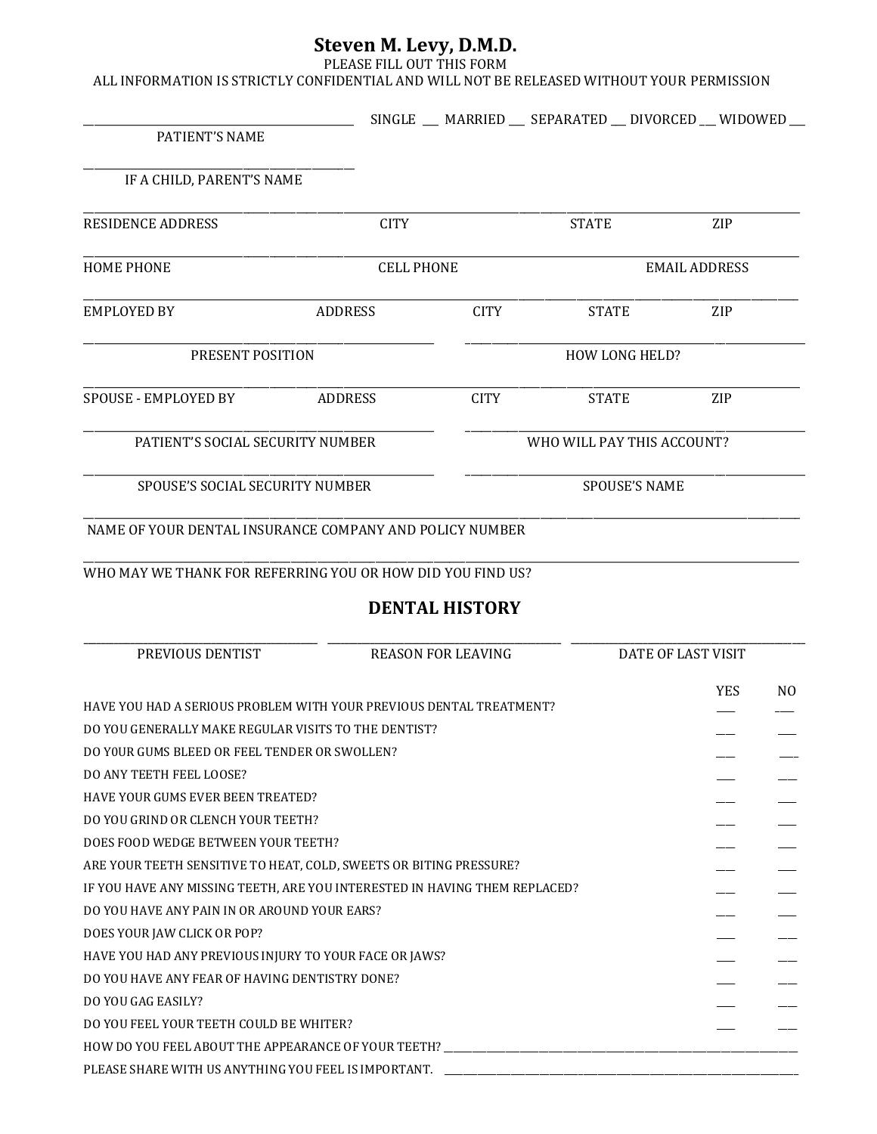| ALL INFORMATION IS STRICTLY CONFIDENTIAL AND WILL NOT BE RELEASED WITHOUT YOUR PERMISSION             | Steven M. Levy, D.M.D.<br>PLEASE FILL OUT THIS FORM |                           |                                                          |                    |                |  |
|-------------------------------------------------------------------------------------------------------|-----------------------------------------------------|---------------------------|----------------------------------------------------------|--------------------|----------------|--|
|                                                                                                       |                                                     |                           | SINGLE __ MARRIED __ SEPARATED __ DIVORCED __ WIDOWED __ |                    |                |  |
| PATIENT'S NAME                                                                                        |                                                     |                           |                                                          |                    |                |  |
| IF A CHILD, PARENT'S NAME                                                                             |                                                     |                           |                                                          |                    |                |  |
| <b>RESIDENCE ADDRESS</b>                                                                              | <b>CITY</b>                                         |                           | <b>STATE</b>                                             | ZIP                |                |  |
| <b>HOME PHONE</b>                                                                                     | <b>CELL PHONE</b>                                   |                           | <b>EMAIL ADDRESS</b>                                     |                    |                |  |
| <b>EMPLOYED BY</b>                                                                                    | <b>ADDRESS</b>                                      | <b>CITY</b>               | <b>STATE</b>                                             | ZIP                |                |  |
| PRESENT POSITION                                                                                      |                                                     |                           | <b>HOW LONG HELD?</b>                                    |                    |                |  |
| SPOUSE - EMPLOYED BY                                                                                  | <b>ADDRESS</b>                                      | <b>CITY</b>               | <b>STATE</b>                                             | ZIP                |                |  |
| PATIENT'S SOCIAL SECURITY NUMBER                                                                      |                                                     |                           | WHO WILL PAY THIS ACCOUNT?                               |                    |                |  |
| SPOUSE'S SOCIAL SECURITY NUMBER                                                                       |                                                     | <b>SPOUSE'S NAME</b>      |                                                          |                    |                |  |
| NAME OF YOUR DENTAL INSURANCE COMPANY AND POLICY NUMBER                                               |                                                     |                           |                                                          |                    |                |  |
| WHO MAY WE THANK FOR REFERRING YOU OR HOW DID YOU FIND US?                                            |                                                     |                           |                                                          |                    |                |  |
|                                                                                                       |                                                     | <b>DENTAL HISTORY</b>     |                                                          |                    |                |  |
| PREVIOUS DENTIST                                                                                      |                                                     | <b>REASON FOR LEAVING</b> |                                                          | DATE OF LAST VISIT |                |  |
|                                                                                                       |                                                     |                           |                                                          | <b>YES</b>         | N <sub>0</sub> |  |
| HAVE YOU HAD A SERIOUS PROBLEM WITH YOUR PREVIOUS DENTAL TREATMENT?                                   |                                                     |                           |                                                          |                    |                |  |
| DO YOU GENERALLY MAKE REGULAR VISITS TO THE DENTIST?<br>DO YOUR GUMS BLEED OR FEEL TENDER OR SWOLLEN? |                                                     |                           |                                                          |                    |                |  |
|                                                                                                       |                                                     |                           |                                                          |                    |                |  |
| DO ANY TEETH FEEL LOOSE?                                                                              |                                                     |                           |                                                          |                    |                |  |
| <b>HAVE YOUR GUMS EVER BEEN TREATED?</b><br>DO YOU GRIND OR CLENCH YOUR TEETH?                        |                                                     |                           |                                                          |                    |                |  |
| DOES FOOD WEDGE BETWEEN YOUR TEETH?                                                                   |                                                     |                           |                                                          |                    |                |  |
| ARE YOUR TEETH SENSITIVE TO HEAT, COLD, SWEETS OR BITING PRESSURE?                                    |                                                     |                           |                                                          |                    |                |  |
| IF YOU HAVE ANY MISSING TEETH, ARE YOU INTERESTED IN HAVING THEM REPLACED?                            |                                                     |                           |                                                          |                    |                |  |
| DO YOU HAVE ANY PAIN IN OR AROUND YOUR EARS?                                                          |                                                     |                           |                                                          |                    |                |  |
| DOES YOUR JAW CLICK OR POP?                                                                           |                                                     |                           |                                                          |                    |                |  |
| HAVE YOU HAD ANY PREVIOUS INJURY TO YOUR FACE OR JAWS?                                                |                                                     |                           |                                                          |                    |                |  |
| DO YOU HAVE ANY FEAR OF HAVING DENTISTRY DONE?                                                        |                                                     |                           |                                                          |                    |                |  |

DO YOU GAG EASILY? \_\_\_\_ \_\_\_\_

DO YOU FEEL YOUR TEETH COULD BE WHITER?

HOW DO YOU FEEL ABOUT THE APPEARANCE OF YOUR TEETH? \_\_\_\_\_\_\_\_\_\_\_\_\_\_\_\_\_\_\_\_\_\_\_\_\_\_\_\_

PLEASE SHARE WITH US ANYTHING YOU FEEL IS IMPORTANT. \_\_\_\_\_\_\_\_\_\_\_\_\_\_\_\_\_\_\_\_\_\_\_\_\_\_\_